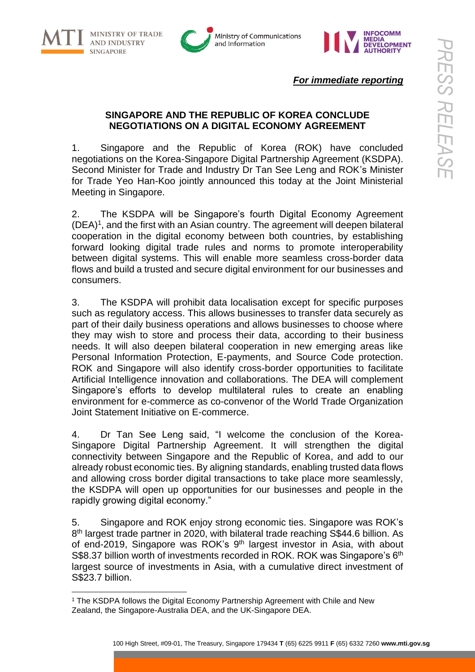





*For immediate reporting*

## **SINGAPORE AND THE REPUBLIC OF KOREA CONCLUDE NEGOTIATIONS ON A DIGITAL ECONOMY AGREEMENT**

1. Singapore and the Republic of Korea (ROK) have concluded negotiations on the Korea-Singapore Digital Partnership Agreement (KSDPA). Second Minister for Trade and Industry Dr Tan See Leng and ROK's Minister for Trade Yeo Han-Koo jointly announced this today at the Joint Ministerial Meeting in Singapore.

2. The KSDPA will be Singapore's fourth Digital Economy Agreement  $(DEA)<sup>1</sup>$ , and the first with an Asian country. The agreement will deepen bilateral cooperation in the digital economy between both countries, by establishing forward looking digital trade rules and norms to promote interoperability between digital systems. This will enable more seamless cross-border data flows and build a trusted and secure digital environment for our businesses and consumers.

3. The KSDPA will prohibit data localisation except for specific purposes such as regulatory access. This allows businesses to transfer data securely as part of their daily business operations and allows businesses to choose where they may wish to store and process their data, according to their business needs. It will also deepen bilateral cooperation in new emerging areas like Personal Information Protection, E-payments, and Source Code protection. ROK and Singapore will also identify cross-border opportunities to facilitate Artificial Intelligence innovation and collaborations. The DEA will complement Singapore's efforts to develop multilateral rules to create an enabling environment for e-commerce as co-convenor of the World Trade Organization Joint Statement Initiative on E-commerce.

4. Dr Tan See Leng said, "I welcome the conclusion of the Korea-Singapore Digital Partnership Agreement. It will strengthen the digital connectivity between Singapore and the Republic of Korea, and add to our already robust economic ties. By aligning standards, enabling trusted data flows and allowing cross border digital transactions to take place more seamlessly, the KSDPA will open up opportunities for our businesses and people in the rapidly growing digital economy."

5. Singapore and ROK enjoy strong economic ties. Singapore was ROK's 8<sup>th</sup> largest trade partner in 2020, with bilateral trade reaching S\$44.6 billion. As of end-2019, Singapore was ROK's 9<sup>th</sup> largest investor in Asia, with about S\$8.37 billion worth of investments recorded in ROK. ROK was Singapore's 6<sup>th</sup> largest source of investments in Asia, with a cumulative direct investment of S\$23.7 billion.

<sup>1</sup> The KSDPA follows the Digital Economy Partnership Agreement with Chile and New Zealand, the Singapore-Australia DEA, and the UK-Singapore DEA.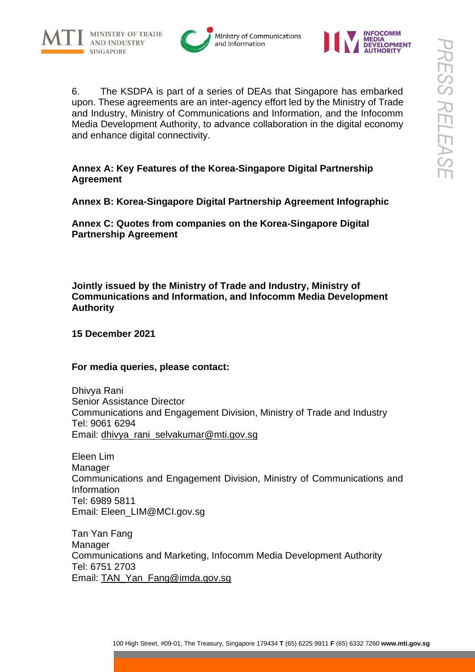







6. upon. These agreements are an inter-agency effort led by the Ministry of Trade The KSDPA is part of a series of DEAs that Singapore has embarked and Industry, Ministry of Communications and Information, and the Infocomm Media Development Authority, to advance collaboration in the digital economy and enhance digital connectivity.

**Annex A: Key Features of the Korea-Singapore Digital Partnership Agreement**

**Annex B: Korea-Singapore Digital Partnership Agreement Infographic**

**Annex C: Quotes from companies on the Korea-Singapore Digital Partnership Agreement**

**Jointly issued by the Ministry of Trade and Industry, Ministry of Communications and Information, and Infocomm Media Development Authority**

**15 December 2021**

### **For media queries, please contact:**

Dhivya Rani Senior Assistance Director Communications and Engagement Division, Ministry of Trade and Industry Tel: 9061 6294 Email: [dhivya\\_rani\\_selvakumar@mti.gov.sg](mailto:dhivya_rani_selvakumar@mti.gov.sg)

Eleen Lim Manager Communications and Engagement Division, Ministry of Communications and Information Tel: 6989 5811 Email: Eleen\_LIM@MCI.gov.sg

Tan Yan Fang Manager Communications and Marketing, Infocomm Media Development Authority Tel: 6751 2703 Email: [TAN\\_Yan\\_Fang@imda.gov.sg](mailto:TAN_Yan_Fang@imda.gov.sg)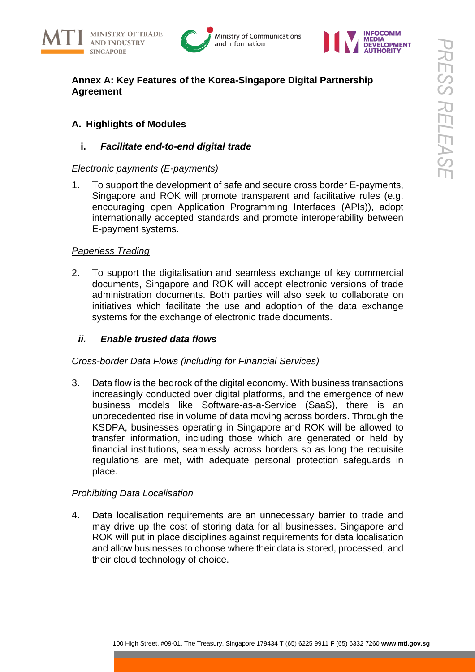





## **Annex A: Key Features of the Korea-Singapore Digital Partnership Agreement**

# **A. Highlights of Modules**

# **i.** *Facilitate end-to-end digital trade*

### *Electronic payments (E-payments)*

1. To support the development of safe and secure cross border E-payments, Singapore and ROK will promote transparent and facilitative rules (e.g. encouraging open Application Programming Interfaces (APIs)), adopt internationally accepted standards and promote interoperability between E-payment systems.

### *Paperless Trading*

2. To support the digitalisation and seamless exchange of key commercial documents, Singapore and ROK will accept electronic versions of trade administration documents. Both parties will also seek to collaborate on initiatives which facilitate the use and adoption of the data exchange systems for the exchange of electronic trade documents.

## *ii. Enable trusted data flows*

# *Cross-border Data Flows (including for Financial Services)*

3. Data flow is the bedrock of the digital economy. With business transactions increasingly conducted over digital platforms, and the emergence of new business models like Software-as-a-Service (SaaS), there is an unprecedented rise in volume of data moving across borders. Through the KSDPA, businesses operating in Singapore and ROK will be allowed to transfer information, including those which are generated or held by financial institutions, seamlessly across borders so as long the requisite regulations are met, with adequate personal protection safeguards in place.

# *Prohibiting Data Localisation*

4. Data localisation requirements are an unnecessary barrier to trade and may drive up the cost of storing data for all businesses. Singapore and ROK will put in place disciplines against requirements for data localisation and allow businesses to choose where their data is stored, processed, and their cloud technology of choice.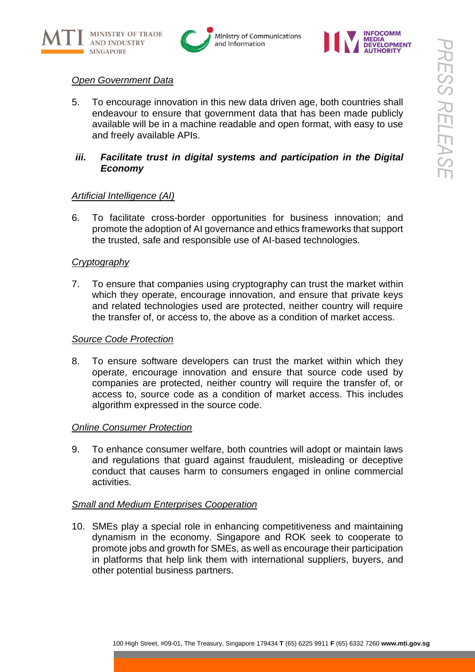





### *Open Government Data*

5. To encourage innovation in this new data driven age, both countries shall endeavour to ensure that government data that has been made publicly available will be in a machine readable and open format, with easy to use and freely available APIs.

### *iii. Facilitate trust in digital systems and participation in the Digital Economy*

# *Artificial Intelligence (AI)*

6. To facilitate cross-border opportunities for business innovation; and promote the adoption of AI governance and ethics frameworks that support the trusted, safe and responsible use of AI-based technologies.

### *Cryptography*

7. To ensure that companies using cryptography can trust the market within which they operate, encourage innovation, and ensure that private keys and related technologies used are protected, neither country will require the transfer of, or access to, the above as a condition of market access.

### *Source Code Protection*

8. To ensure software developers can trust the market within which they operate, encourage innovation and ensure that source code used by companies are protected, neither country will require the transfer of, or access to, source code as a condition of market access. This includes algorithm expressed in the source code.

# *Online Consumer Protection*

9. To enhance consumer welfare, both countries will adopt or maintain laws and regulations that guard against fraudulent, misleading or deceptive conduct that causes harm to consumers engaged in online commercial activities.

### *Small and Medium Enterprises Cooperation*

10. SMEs play a special role in enhancing competitiveness and maintaining dynamism in the economy. Singapore and ROK seek to cooperate to promote jobs and growth for SMEs, as well as encourage their participation in platforms that help link them with international suppliers, buyers, and other potential business partners.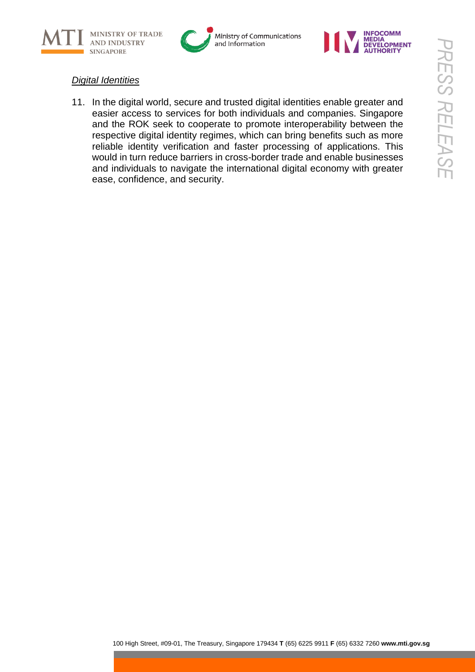





### *Digital Identities*

11. In the digital world, secure and trusted digital identities enable greater and easier access to services for both individuals and companies. Singapore and the ROK seek to cooperate to promote interoperability between the respective digital identity regimes, which can bring benefits such as more reliable identity verification and faster processing of applications. This would in turn reduce barriers in cross-border trade and enable businesses and individuals to navigate the international digital economy with greater ease, confidence, and security.

a sa mga bayang sa pag-ang pag-ang pag-ang pag-ang pag-ang pag-ang pag-ang pag-ang pag-ang pag-ang pag-ang pag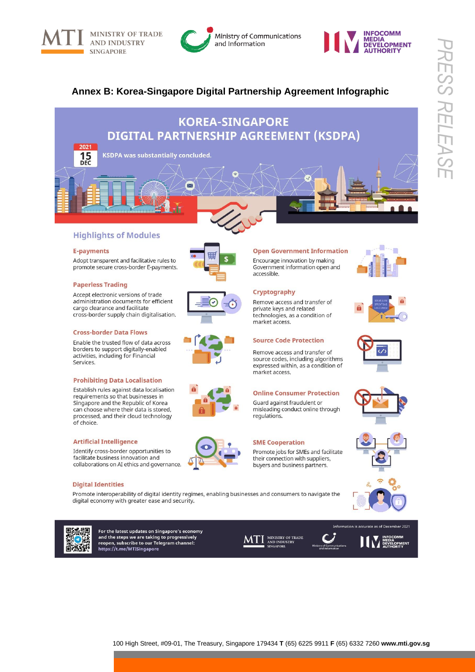# **KOREA-SINGAPORE** DIGITAL PARTNERSHIP AGREEMENT (KSDPA)

**KSDPA was substantially concluded.** 

 $\overline{\times}$ 

# **Highlights of Modules**

**AND INDUSTRY** 

**SINGAPORE** 

### **E-payments**

 $2021$  $\frac{15}{\text{DEC}}$ 

Adopt transparent and facilitative rules to promote secure cross-border E-payments.

### **Paperless Trading**

Accept electronic versions of trade administration documents for efficient cargo clearance and facilitate cross-border supply chain digitalisation.

### **Cross-border Data Flows**

Enable the trusted flow of data across borders to support digitally-enabled activities, including for Financial Services.

### **Prohibiting Data Localisation**

Establish rules against data localisation requirements so that businesses in Singapore and the Republic of Korea can choose where their data is stored, processed, and their cloud technology of choice.

### **Artificial Intelligence**

Identify cross-border opportunities to facilitate business innovation and collaborations on AI ethics and governance.

### **Digital Identities**

Promote interoperability of digital identity regimes, enabling businesses and consumers to navigate the digital economy with greater ease and security.









### **Source Code Protection**

Remove access and transfer of source codes, including algorithms expressed within, as a condition of market access.

### **Online Consumer Protection**

Guard against fraudulent or misleading conduct online through regulations.

### **SME Cooperation**

MTI MINISTRY OF TRADI

their connection with suppliers, buyers and business partners.

100 High Street, #09-01, The Treasury, Singapore 179434 **T** (65) 6225 9911 **F** (65) 6332 7260 **www.mti.gov.sg**



For the latest updates on Singapore's economy and the steps we are taking to progressively<br>reopen, subscribe to our Telegram channel: https://t.me/MTISingapore

Promote jobs for SMEs and facilitate



**INFOCOMM<br>MEDIA<br>DEVELOPMENT** 

**AUTHORITY** 











**LOPMENT**<br>IORITY

Information is accurate as of December 2021



















# Remove access and transfer of



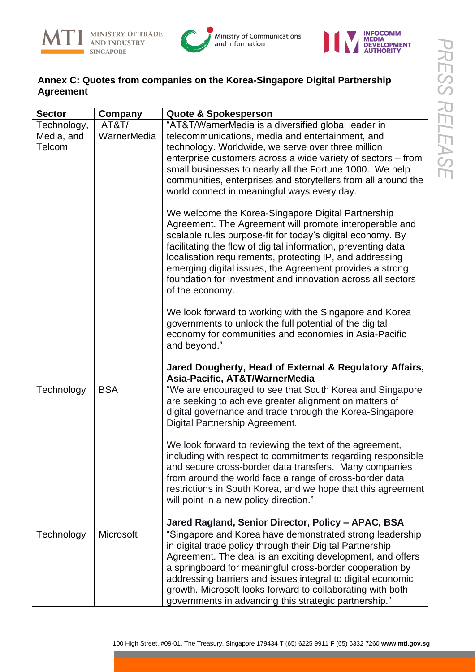



# **Annex C: Quotes from companies on the Korea-Singapore Digital Partnership Agreement**

| <b>Sector</b> | Company     | <b>Quote &amp; Spokesperson</b>                                                                                           |
|---------------|-------------|---------------------------------------------------------------------------------------------------------------------------|
| Technology,   | AT&T/       | "AT&T/WarnerMedia is a diversified global leader in                                                                       |
| Media, and    | WarnerMedia | telecommunications, media and entertainment, and                                                                          |
| Telcom        |             | technology. Worldwide, we serve over three million                                                                        |
|               |             | enterprise customers across a wide variety of sectors – from                                                              |
|               |             | small businesses to nearly all the Fortune 1000. We help<br>communities, enterprises and storytellers from all around the |
|               |             | world connect in meaningful ways every day.                                                                               |
|               |             |                                                                                                                           |
|               |             | We welcome the Korea-Singapore Digital Partnership                                                                        |
|               |             | Agreement. The Agreement will promote interoperable and                                                                   |
|               |             | scalable rules purpose-fit for today's digital economy. By                                                                |
|               |             | facilitating the flow of digital information, preventing data                                                             |
|               |             | localisation requirements, protecting IP, and addressing                                                                  |
|               |             | emerging digital issues, the Agreement provides a strong<br>foundation for investment and innovation across all sectors   |
|               |             | of the economy.                                                                                                           |
|               |             |                                                                                                                           |
|               |             | We look forward to working with the Singapore and Korea                                                                   |
|               |             | governments to unlock the full potential of the digital                                                                   |
|               |             | economy for communities and economies in Asia-Pacific                                                                     |
|               |             | and beyond."                                                                                                              |
|               |             | Jared Dougherty, Head of External & Regulatory Affairs,                                                                   |
|               |             | Asia-Pacific, AT&T/WarnerMedia                                                                                            |
| Technology    | <b>BSA</b>  | "We are encouraged to see that South Korea and Singapore                                                                  |
|               |             | are seeking to achieve greater alignment on matters of                                                                    |
|               |             | digital governance and trade through the Korea-Singapore<br>Digital Partnership Agreement.                                |
|               |             |                                                                                                                           |
|               |             | We look forward to reviewing the text of the agreement,                                                                   |
|               |             | including with respect to commitments regarding responsible                                                               |
|               |             | and secure cross-border data transfers. Many companies                                                                    |
|               |             | from around the world face a range of cross-border data                                                                   |
|               |             | restrictions in South Korea, and we hope that this agreement<br>will point in a new policy direction."                    |
|               |             |                                                                                                                           |
|               |             | Jared Ragland, Senior Director, Policy - APAC, BSA                                                                        |
| Technology    | Microsoft   | "Singapore and Korea have demonstrated strong leadership                                                                  |
|               |             | in digital trade policy through their Digital Partnership                                                                 |
|               |             | Agreement. The deal is an exciting development, and offers                                                                |
|               |             | a springboard for meaningful cross-border cooperation by                                                                  |
|               |             | addressing barriers and issues integral to digital economic<br>growth. Microsoft looks forward to collaborating with both |
|               |             | governments in advancing this strategic partnership."                                                                     |

and the control of the control of the control of the control of the control of the control of the control of th